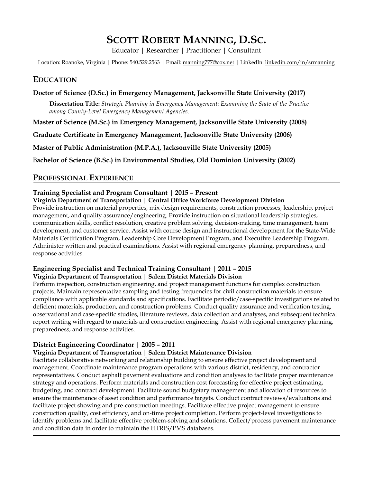# **SCOTT ROBERT MANNING, D.SC.**

Educator | Researcher | Practitioner | Consultant

Location: Roanoke, Virginia | Phone: 540.529.2563 | Email: manning777@cox.net | LinkedIn: linkedin.com/in/srmanning

### **EDUCATION**

#### **Doctor of Science (D.Sc.) in Emergency Management, Jacksonville State University (2017)**

**Dissertation Title:** *Strategic Planning in Emergency Management: Examining the State-of-the-Practice among County-Level Emergency Management Agencies*.

**Master of Science (M.Sc.) in Emergency Management, Jacksonville State University (2008)** 

**Graduate Certificate in Emergency Management, Jacksonville State University (2006)** 

**Master of Public Administration (M.P.A.), Jacksonville State University (2005)** 

B**achelor of Science (B.Sc.) in Environmental Studies, Old Dominion University (2002)** 

## **PROFESSIONAL EXPERIENCE**

#### **Training Specialist and Program Consultant | 2015 – Present**

#### **Virginia Department of Transportation | Central Office Workforce Development Division**

Provide instruction on material properties, mix design requirements, construction processes, leadership, project management, and quality assurance/engineering. Provide instruction on situational leadership strategies, communication skills, conflict resolution, creative problem solving, decision-making, time management, team development, and customer service. Assist with course design and instructional development for the State‐Wide Materials Certification Program, Leadership Core Development Program, and Executive Leadership Program. Administer written and practical examinations. Assist with regional emergency planning, preparedness, and response activities.

#### **Engineering Specialist and Technical Training Consultant | 2011 – 2015 Virginia Department of Transportation | Salem District Materials Division**

Perform inspection, construction engineering, and project management functions for complex construction projects. Maintain representative sampling and testing frequencies for civil construction materials to ensure compliance with applicable standards and specifications. Facilitate periodic/case‐specific investigations related to deficient materials, production, and construction problems. Conduct quality assurance and verification testing, observational and case‐specific studies, literature reviews, data collection and analyses, and subsequent technical report writing with regard to materials and construction engineering. Assist with regional emergency planning, preparedness, and response activities.

#### **District Engineering Coordinator | 2005 – 2011**

#### **Virginia Department of Transportation | Salem District Maintenance Division**

Facilitate collaborative networking and relationship building to ensure effective project development and management. Coordinate maintenance program operations with various district, residency, and contractor representatives. Conduct asphalt pavement evaluations and condition analyses to facilitate proper maintenance strategy and operations. Perform materials and construction cost forecasting for effective project estimating, budgeting, and contract development. Facilitate sound budgetary management and allocation of resources to ensure the maintenance of asset condition and performance targets. Conduct contract reviews/evaluations and facilitate project showing and pre‐construction meetings. Facilitate effective project management to ensure construction quality, cost efficiency, and on-time project completion. Perform project-level investigations to identify problems and facilitate effective problem‐solving and solutions. Collect/process pavement maintenance and condition data in order to maintain the HTRIS/PMS databases.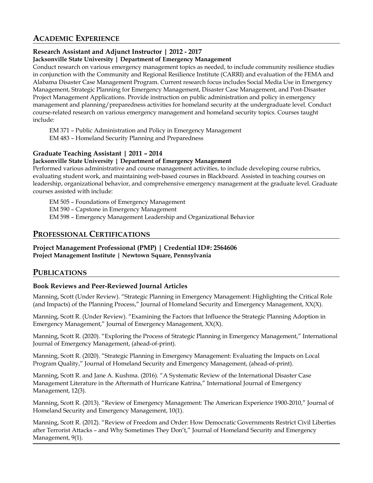# **ACADEMIC EXPERIENCE**

### **Research Assistant and Adjunct Instructor | 2012 ‐ 2017**

### **Jacksonville State University | Department of Emergency Management**

Conduct research on various emergency management topics as needed, to include community resilience studies in conjunction with the Community and Regional Resilience Institute (CARRI) and evaluation of the FEMA and Alabama Disaster Case Management Program. Current research focus includes Social Media Use in Emergency Management, Strategic Planning for Emergency Management, Disaster Case Management, and Post‐Disaster Project Management Applications. Provide instruction on public administration and policy in emergency management and planning/preparedness activities for homeland security at the undergraduate level. Conduct course‐related research on various emergency management and homeland security topics. Courses taught include:

EM 371 – Public Administration and Policy in Emergency Management

EM 483 – Homeland Security Planning and Preparedness

### **Graduate Teaching Assistant | 2011 – 2014**

#### **Jacksonville State University | Department of Emergency Management**

Performed various administrative and course management activities, to include developing course rubrics, evaluating student work, and maintaining web-based courses in Blackboard. Assisted in teaching courses on leadership, organizational behavior, and comprehensive emergency management at the graduate level. Graduate courses assisted with include:

EM 505 – Foundations of Emergency Management

EM 590 – Capstone in Emergency Management

EM 598 – Emergency Management Leadership and Organizational Behavior

# **PROFESSIONAL CERTIFICATIONS**

#### **Project Management Professional (PMP) | Credential ID#: 2564606 Project Management Institute | Newtown Square, Pennsylvania**

### **PUBLICATIONS**

### **Book Reviews and Peer‐Reviewed Journal Articles**

Manning, Scott (Under Review). "Strategic Planning in Emergency Management: Highlighting the Critical Role (and Impacts) of the Planning Process," Journal of Homeland Security and Emergency Management, XX(X).

Manning, Scott R. (Under Review). "Examining the Factors that Influence the Strategic Planning Adoption in Emergency Management," Journal of Emergency Management, XX(X).

Manning, Scott R. (2020). "Exploring the Process of Strategic Planning in Emergency Management," International Journal of Emergency Management, (ahead-of-print).

Manning, Scott R. (2020). "Strategic Planning in Emergency Management: Evaluating the Impacts on Local Program Quality," Journal of Homeland Security and Emergency Management, (ahead-of-print).

Manning, Scott R. and Jane A. Kushma. (2016). "A Systematic Review of the International Disaster Case Management Literature in the Aftermath of Hurricane Katrina," International Journal of Emergency Management, 12(3).

Manning, Scott R. (2013). "Review of Emergency Management: The American Experience 1900‐2010," Journal of Homeland Security and Emergency Management, 10(1).

Manning, Scott R. (2012). "Review of Freedom and Order: How Democratic Governments Restrict Civil Liberties after Terrorist Attacks – and Why Sometimes They Don't," Journal of Homeland Security and Emergency Management, 9(1).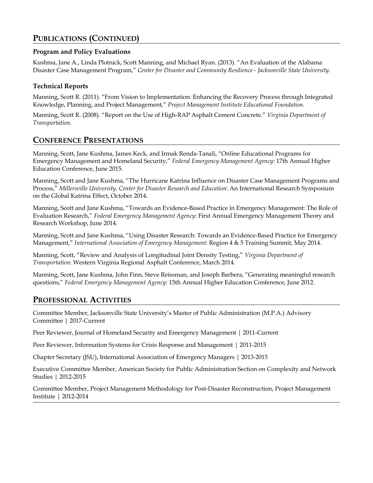# **PUBLICATIONS (CONTINUED)**

### **Program and Policy Evaluations**

Kushma, Jane A., Linda Plotnick, Scott Manning, and Michael Ryan. (2013). "An Evaluation of the Alabama Disaster Case Management Program," *Center for Disaster and Community Resilience - Jacksonville State University*.

### **Technical Reports**

Manning, Scott R. (2011). "From Vision to Implementation: Enhancing the Recovery Process through Integrated Knowledge, Planning, and Project Management," *Project Management Institute Educational Foundation*.

Manning, Scott R. (2008). "Report on the Use of High-RAP Asphalt Cement Concrete." *Virginia Department of Transportation*.

## **CONFERENCE PRESENTATIONS**

Manning, Scott, Jane Kushma, James Keck, and Irmak Renda-Tanali, "Online Educational Programs for Emergency Management and Homeland Security," *Federal Emergency Management Agency*: 17th Annual Higher Education Conference, June 2015.

Manning, Scott and Jane Kushma, "The Hurricane Katrina Influence on Disaster Case Management Programs and Process," *Millersville University, Center for Disaster Research and Education*: An International Research Symposium on the Global Katrina Effect, October 2014.

Manning, Scott and Jane Kushma, "Towards an Evidence-Based Practice in Emergency Management: The Role of Evaluation Research," *Federal Emergency Management Agency*: First Annual Emergency Management Theory and Research Workshop, June 2014.

Manning, Scott and Jane Kushma, "Using Disaster Research: Towards an Evidence-Based Practice for Emergency Management," *International Association of Emergency Management*: Region 4 & 5 Training Summit, May 2014.

Manning, Scott, "Review and Analysis of Longitudinal Joint Density Testing," *Virginia Department of Transportation*: Western Virginia Regional Asphalt Conference, March 2014.

Manning, Scott, Jane Kushma, John Finn, Steve Reissman, and Joseph Barbera, "Generating meaningful research questions," *Federal Emergency Management Agency*: 15th Annual Higher Education Conference, June 2012.

# **PROFESSIONAL ACTIVITIES**

Committee Member, Jacksonville State University's Master of Public Administration (M.P.A.) Advisory Committee | 2017-Current

Peer Reviewer, Journal of Homeland Security and Emergency Management | 2011-Current

Peer Reviewer, Information Systems for Crisis Response and Management | 2011-2015

Chapter Secretary (JSU), International Association of Emergency Managers | 2013-2015

Executive Committee Member, American Society for Public Administration Section on Complexity and Network Studies | 2012-2015

Committee Member, Project Management Methodology for Post-Disaster Reconstruction, Project Management Institute | 2012-2014